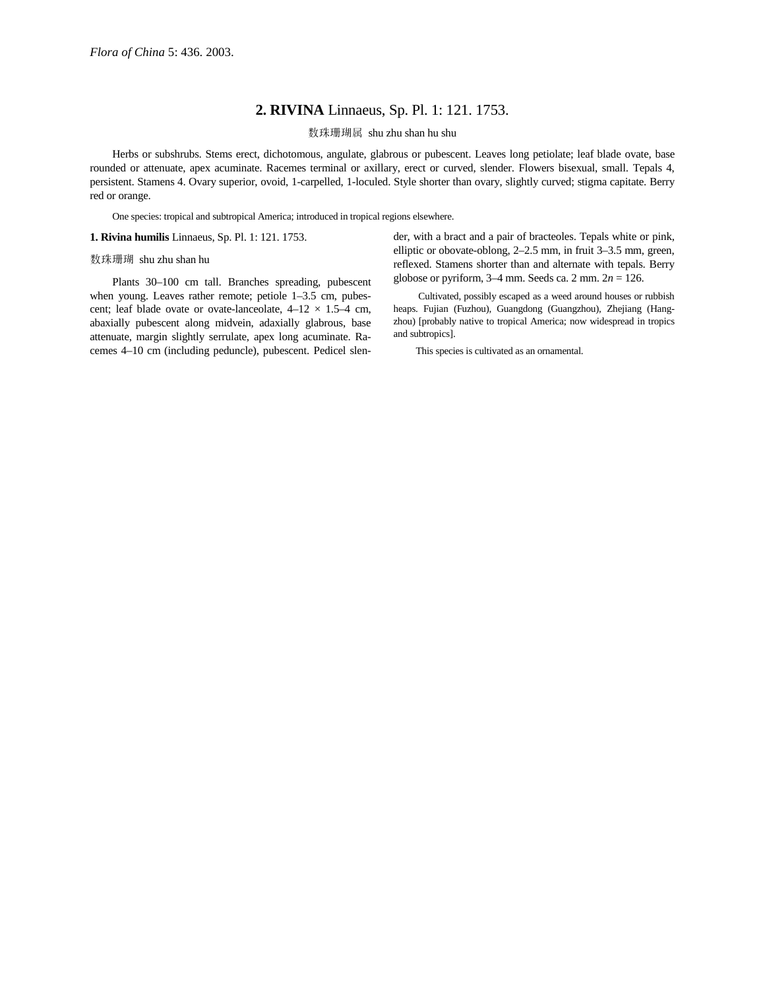## **2. RIVINA** Linnaeus, Sp. Pl. 1: 121. 1753.

数珠珊瑚属 shu zhu shan hu shu

Herbs or subshrubs. Stems erect, dichotomous, angulate, glabrous or pubescent. Leaves long petiolate; leaf blade ovate, base rounded or attenuate, apex acuminate. Racemes terminal or axillary, erect or curved, slender. Flowers bisexual, small. Tepals 4, persistent. Stamens 4. Ovary superior, ovoid, 1-carpelled, 1-loculed. Style shorter than ovary, slightly curved; stigma capitate. Berry red or orange.

One species: tropical and subtropical America; introduced in tropical regions elsewhere.

**1. Rivina humilis** Linnaeus, Sp. Pl. 1: 121. 1753.

## 数珠珊瑚 shu zhu shan hu

Plants 30–100 cm tall. Branches spreading, pubescent when young. Leaves rather remote; petiole 1–3.5 cm, pubescent; leaf blade ovate or ovate-lanceolate,  $4-12 \times 1.5-4$  cm, abaxially pubescent along midvein, adaxially glabrous, base attenuate, margin slightly serrulate, apex long acuminate. Racemes 4–10 cm (including peduncle), pubescent. Pedicel slender, with a bract and a pair of bracteoles. Tepals white or pink, elliptic or obovate-oblong, 2–2.5 mm, in fruit 3–3.5 mm, green, reflexed. Stamens shorter than and alternate with tepals. Berry globose or pyriform, 3–4 mm. Seeds ca. 2 mm. 2*n* = 126.

 Cultivated, possibly escaped as a weed around houses or rubbish heaps. Fujian (Fuzhou), Guangdong (Guangzhou), Zhejiang (Hangzhou) [probably native to tropical America; now widespread in tropics and subtropics].

This species is cultivated as an ornamental.